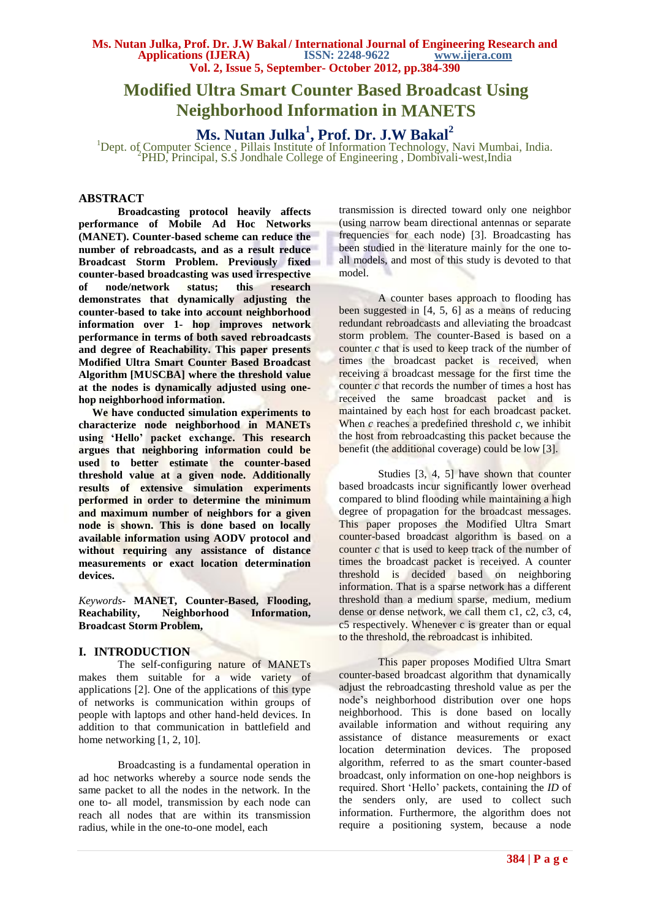# **Modified Ultra Smart Counter Based Broadcast Using Neighborhood Information in MANETS**

**Ms. Nutan Julka<sup>1</sup> , Prof. Dr. J.W Bakal<sup>2</sup>**

<sup>1</sup>Dept. of Computer Science, Pillais Institute of Information Technology, Navi Mumbai, India. PHD, Principal, S.S Jondhale College of Engineering, Dombivali-west, India

## **ABSTRACT**

**Broadcasting protocol heavily affects performance of Mobile Ad Hoc Networks (MANET). Counter-based scheme can reduce the number of rebroadcasts, and as a result reduce Broadcast Storm Problem. Previously fixed counter-based broadcasting was used irrespective of node/network status; this research demonstrates that dynamically adjusting the counter-based to take into account neighborhood information over 1- hop improves network performance in terms of both saved rebroadcasts and degree of Reachability. This paper presents Modified Ultra Smart Counter Based Broadcast Algorithm [MUSCBA] where the threshold value at the nodes is dynamically adjusted using onehop neighborhood information.** 

 **We have conducted simulation experiments to characterize node neighborhood in MANETs using 'Hello' packet exchange. This research argues that neighboring information could be used to better estimate the counter-based threshold value at a given node. Additionally results of extensive simulation experiments performed in order to determine the minimum and maximum number of neighbors for a given node is shown. This is done based on locally available information using AODV protocol and without requiring any assistance of distance measurements or exact location determination devices.**

*Keywords***- MANET, Counter-Based, Flooding, Reachability, Neighborhood Information, Broadcast Storm Problem,** 

## **I. INTRODUCTION**

The self-configuring nature of MANETs makes them suitable for a wide variety of applications [2]. One of the applications of this type of networks is communication within groups of people with laptops and other hand-held devices. In addition to that communication in battlefield and home networking [1, 2, 10].

 Broadcasting is a fundamental operation in ad hoc networks whereby a source node sends the same packet to all the nodes in the network. In the one to- all model, transmission by each node can reach all nodes that are within its transmission radius, while in the one-to-one model, each

transmission is directed toward only one neighbor (using narrow beam directional antennas or separate frequencies for each node) [3]. Broadcasting has been studied in the literature mainly for the one toall models, and most of this study is devoted to that model.

A counter bases approach to flooding has been suggested in [4, 5, 6] as a means of reducing redundant rebroadcasts and alleviating the broadcast storm problem. The counter-Based is based on a counter *c* that is used to keep track of the number of times the broadcast packet is received, when receiving a broadcast message for the first time the counter *c* that records the number of times a host has received the same broadcast packet and is maintained by each host for each broadcast packet. When  $c$  reaches a predefined threshold  $c$ , we inhibit the host from rebroadcasting this packet because the benefit (the additional coverage) could be low [3].

 Studies [3, 4, 5] have shown that counter based broadcasts incur significantly lower overhead compared to blind flooding while maintaining a high degree of propagation for the broadcast messages. This paper proposes the Modified Ultra Smart counter-based broadcast algorithm is based on a counter *c* that is used to keep track of the number of times the broadcast packet is received. A counter threshold is decided based on neighboring information. That is a sparse network has a different threshold than a medium sparse, medium, medium dense or dense network, we call them c1*,* c2, c3, c4, c5 respectively. Whenever c is greater than or equal to the threshold, the rebroadcast is inhibited.

 This paper proposes Modified Ultra Smart counter-based broadcast algorithm that dynamically adjust the rebroadcasting threshold value as per the node's neighborhood distribution over one hops neighborhood. This is done based on locally available information and without requiring any assistance of distance measurements or exact location determination devices. The proposed algorithm, referred to as the smart counter-based broadcast, only information on one-hop neighbors is required. Short 'Hello' packets, containing the *ID* of the senders only, are used to collect such information. Furthermore, the algorithm does not require a positioning system, because a node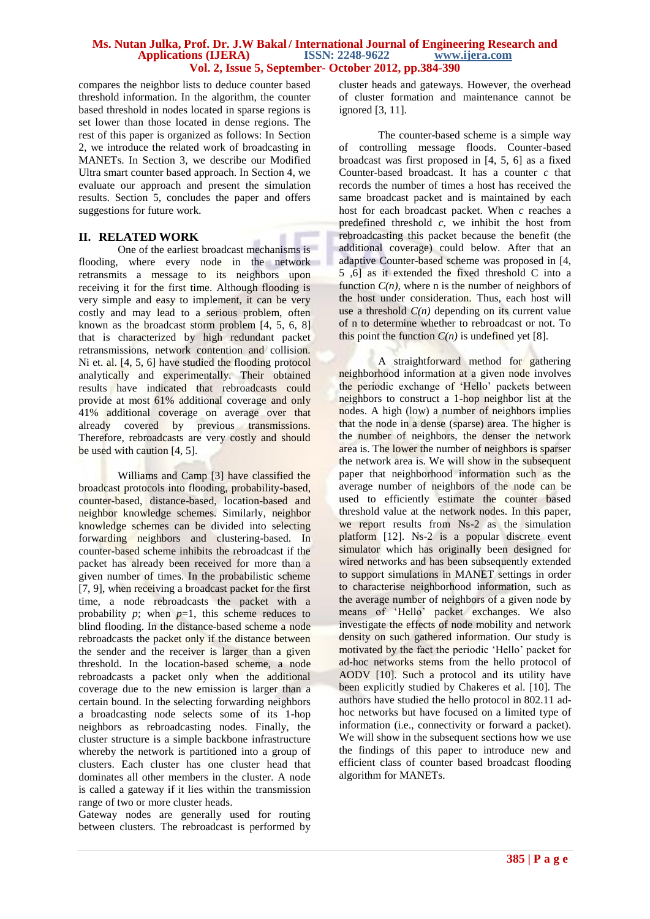compares the neighbor lists to deduce counter based threshold information. In the algorithm, the counter based threshold in nodes located in sparse regions is set lower than those located in dense regions. The rest of this paper is organized as follows: In Section 2, we introduce the related work of broadcasting in MANETs. In Section 3, we describe our Modified Ultra smart counter based approach. In Section 4, we evaluate our approach and present the simulation results. Section 5, concludes the paper and offers suggestions for future work*.*

# **II. RELATED WORK**

One of the earliest broadcast mechanisms is flooding, where every node in the network retransmits a message to its neighbors upon receiving it for the first time. Although flooding is very simple and easy to implement, it can be very costly and may lead to a serious problem, often known as the broadcast storm problem [4, 5, 6, 8] that is characterized by high redundant packet retransmissions, network contention and collision. Ni et. al. [4, 5, 6] have studied the flooding protocol analytically and experimentally. Their obtained results have indicated that rebroadcasts could provide at most 61% additional coverage and only 41% additional coverage on average over that already covered by previous transmissions. Therefore, rebroadcasts are very costly and should be used with caution [4, 5].

 Williams and Camp [3] have classified the broadcast protocols into flooding, probability-based, counter-based, distance-based, location-based and neighbor knowledge schemes. Similarly, neighbor knowledge schemes can be divided into selecting forwarding neighbors and clustering-based. In counter-based scheme inhibits the rebroadcast if the packet has already been received for more than a given number of times. In the probabilistic scheme [7, 9], when receiving a broadcast packet for the first time, a node rebroadcasts the packet with a probability  $p$ ; when  $p=1$ , this scheme reduces to blind flooding. In the distance-based scheme a node rebroadcasts the packet only if the distance between the sender and the receiver is larger than a given threshold. In the location-based scheme, a node rebroadcasts a packet only when the additional coverage due to the new emission is larger than a certain bound. In the selecting forwarding neighbors a broadcasting node selects some of its 1-hop neighbors as rebroadcasting nodes. Finally, the cluster structure is a simple backbone infrastructure whereby the network is partitioned into a group of clusters. Each cluster has one cluster head that dominates all other members in the cluster. A node is called a gateway if it lies within the transmission range of two or more cluster heads.

Gateway nodes are generally used for routing between clusters. The rebroadcast is performed by

cluster heads and gateways. However, the overhead of cluster formation and maintenance cannot be ignored [3, 11].

The counter-based scheme is a simple way of controlling message floods. Counter-based broadcast was first proposed in [4, 5, 6] as a fixed Counter-based broadcast. It has a counter *c* that records the number of times a host has received the same broadcast packet and is maintained by each host for each broadcast packet. When *c* reaches a predefined threshold *c*, we inhibit the host from rebroadcasting this packet because the benefit (the additional coverage) could below. After that an adaptive Counter-based scheme was proposed in [4, 5 ,6] as it extended the fixed threshold C into a function  $C(n)$ , where n is the number of neighbors of the host under consideration. Thus, each host will use a threshold  $C(n)$  depending on its current value of n to determine whether to rebroadcast or not. To this point the function  $C(n)$  is undefined yet [8].

 A straightforward method for gathering neighborhood information at a given node involves the periodic exchange of 'Hello' packets between neighbors to construct a 1-hop neighbor list at the nodes. A high (low) a number of neighbors implies that the node in a dense (sparse) area. The higher is the number of neighbors, the denser the network area is. The lower the number of neighbors is sparser the network area is. We will show in the subsequent paper that neighborhood information such as the average number of neighbors of the node can be used to efficiently estimate the counter based threshold value at the network nodes. In this paper, we report results from Ns-2 as the simulation platform [12]. Ns-2 is a popular discrete event simulator which has originally been designed for wired networks and has been subsequently extended to support simulations in MANET settings in order to characterise neighborhood information, such as the average number of neighbors of a given node by means of 'Hello' packet exchanges. We also investigate the effects of node mobility and network density on such gathered information. Our study is motivated by the fact the periodic 'Hello' packet for ad-hoc networks stems from the hello protocol of AODV [10]. Such a protocol and its utility have been explicitly studied by Chakeres et al. [10]. The authors have studied the hello protocol in 802.11 adhoc networks but have focused on a limited type of information (i.e., connectivity or forward a packet). We will show in the subsequent sections how we use the findings of this paper to introduce new and efficient class of counter based broadcast flooding algorithm for MANETs.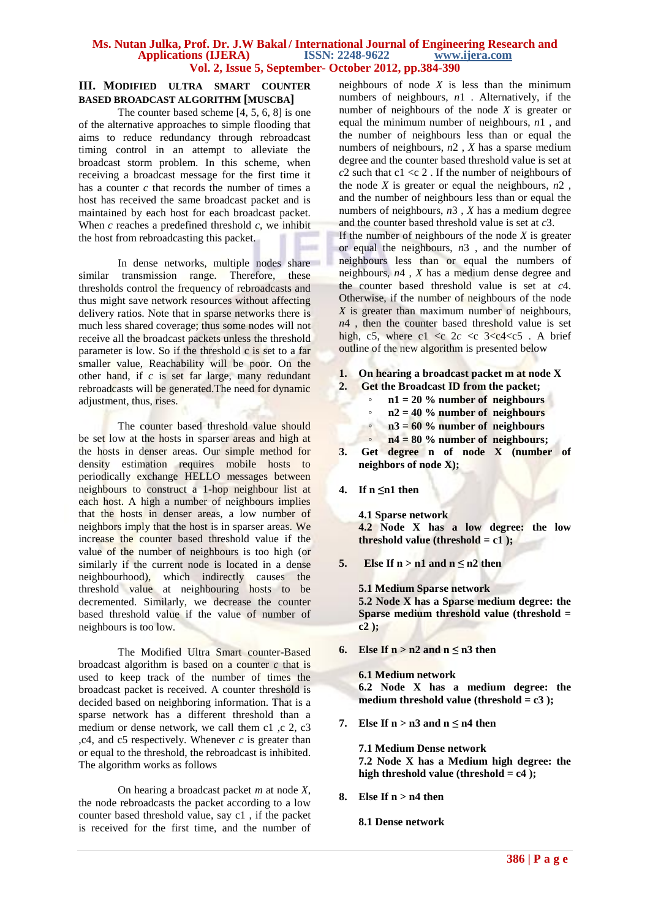# **III. MODIFIED ULTRA SMART COUNTER BASED BROADCAST ALGORITHM [MUSCBA]**

The counter based scheme [4, 5, 6, 8] is one of the alternative approaches to simple flooding that aims to reduce redundancy through rebroadcast timing control in an attempt to alleviate the broadcast storm problem. In this scheme, when receiving a broadcast message for the first time it has a counter *c* that records the number of times a host has received the same broadcast packet and is maintained by each host for each broadcast packet. When  $c$  reaches a predefined threshold  $c$ , we inhibit the host from rebroadcasting this packet.

In dense networks, multiple nodes share similar transmission range. Therefore, these thresholds control the frequency of rebroadcasts and thus might save network resources without affecting delivery ratios. Note that in sparse networks there is much less shared coverage; thus some nodes will not receive all the broadcast packets unless the threshold parameter is low. So if the threshold c is set to a far smaller value, Reachability will be poor. On the other hand, if *c* is set far large, many redundant rebroadcasts will be generated.The need for dynamic adjustment, thus, rises.

 The counter based threshold value should be set low at the hosts in sparser areas and high at the hosts in denser areas. Our simple method for density estimation requires mobile hosts to periodically exchange HELLO messages between neighbours to construct a 1-hop neighbour list at each host. A high a number of neighbours implies that the hosts in denser areas, a low number of neighbors imply that the host is in sparser areas. We increase the counter based threshold value if the value of the number of neighbours is too high (or similarly if the current node is located in a dense neighbourhood), which indirectly causes the threshold value at neighbouring hosts to be decremented. Similarly, we decrease the counter based threshold value if the value of number of neighbours is too low.

 The Modified Ultra Smart counter-Based broadcast algorithm is based on a counter *c* that is used to keep track of the number of times the broadcast packet is received. A counter threshold is decided based on neighboring information. That is a sparse network has a different threshold than a medium or dense network, we call them c1, c 2, c3 ,c4, and c5 respectively. Whenever *c* is greater than or equal to the threshold, the rebroadcast is inhibited. The algorithm works as follows

 On hearing a broadcast packet *m* at node *X*, the node rebroadcasts the packet according to a low counter based threshold value, say c1 , if the packet is received for the first time, and the number of neighbours of node *X* is less than the minimum numbers of neighbours, *n*1 . Alternatively, if the number of neighbours of the node *X* is greater or equal the minimum number of neighbours, *n*1 , and the number of neighbours less than or equal the numbers of neighbours, *n*2 , *X* has a sparse medium degree and the counter based threshold value is set at  $c$ 2 such that c1 <c 2. If the number of neighbours of the node  $X$  is greater or equal the neighbours,  $n2$ , and the number of neighbours less than or equal the numbers of neighbours,  $n3$ , *X* has a medium degree and the counter based threshold value is set at *c*3.

If the number of neighbours of the node *X* is greater or equal the neighbours, *n*3 , and the number of neighbours less than or equal the numbers of neighbours, *n*4 , *X* has a medium dense degree and the counter based threshold value is set at *c*4. Otherwise, if the number of neighbours of the node *X* is greater than maximum number of neighbours,  $n<sup>4</sup>$ , then the counter based threshold value is set high, c5, where c1  $\langle c \rangle$  2 $c \langle c \rangle$  3 $\langle c \rangle$  4 $\langle c \rangle$ . A brief outline of the new algorithm is presented below

- **1. On hearing a broadcast packet m at node X**
- **2. Get the Broadcast ID from the packet;**
	- **n1 = 20 % number of neighbours**
	- **n2 = 40 % number of neighbours**
	- **n3 = 60 % number of neighbours**
	- **n4 = 80 % number of neighbours;**
- **3. Get degree n of node X (number of neighbors of node X);**
- **4. If n ≤n1 then**

**4.1 Sparse network 4.2 Node X has a low degree: the low threshold value (threshold = c1 );**

**5.** Else If  $n > n1$  and  $n \le n2$  then

**5.1 Medium Sparse network 5.2 Node X has a Sparse medium degree: the Sparse medium threshold value (threshold = c2 );**

**6. Else If n** >  $n^2$  and  $n \le n^3$  then

**6.1 Medium network 6.2 Node X has a medium degree: the medium threshold value (threshold = c3 );**

**7. Else If**  $n > n3$  **and**  $n \leq n4$  **then** 

**7.1 Medium Dense network 7.2 Node X has a Medium high degree: the high threshold value (threshold = c4 );**

**8. Else If n > n4 then**

**8.1 Dense network**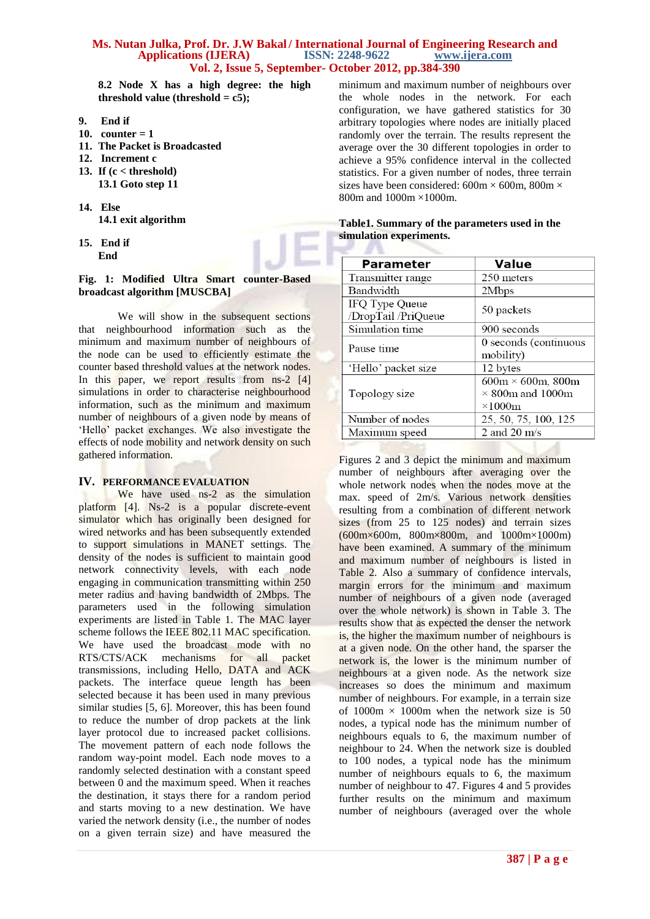### **Ms. Nutan Julka, Prof. Dr. J.W Bakal / International Journal of Engineering Research and <br>Applications (IJERA)** ISSN: 2248-9622 www.ijera.com Applications **(IJERA) Vol. 2, Issue 5, September- October 2012, pp.384-390**

**8.2 Node X has a high degree: the high threshold value (threshold = c5);**

- **9. End if**
- **10. counter = 1**
- **11. The Packet is Broadcasted**
- **12. Increment c**
- **13. If (c < threshold) 13.1 Goto step 11**
- **14. Else 14.1 exit algorithm**
- **15. End if End**

## **Fig. 1: Modified Ultra Smart counter-Based broadcast algorithm [MUSCBA]**

We will show in the subsequent sections that neighbourhood information such as the minimum and maximum number of neighbours of the node can be used to efficiently estimate the counter based threshold values at the network nodes. In this paper, we report results from ns-2 [4] simulations in order to characterise neighbourhood information, such as the minimum and maximum number of neighbours of a given node by means of 'Hello' packet exchanges. We also investigate the effects of node mobility and network density on such gathered information.

# **IV. PERFORMANCE EVALUATION**

We have used ns-2 as the simulation platform [4]. Ns-2 is a popular discrete-event simulator which has originally been designed for wired networks and has been subsequently extended to support simulations in MANET settings. The density of the nodes is sufficient to maintain good network connectivity levels, with each node engaging in communication transmitting within 250 meter radius and having bandwidth of 2Mbps. The parameters used in the following simulation experiments are listed in Table 1. The MAC layer scheme follows the IEEE 802.11 MAC specification. We have used the broadcast mode with no RTS/CTS/ACK mechanisms for all packet transmissions, including Hello, DATA and ACK packets. The interface queue length has been selected because it has been used in many previous similar studies [5, 6]. Moreover, this has been found to reduce the number of drop packets at the link layer protocol due to increased packet collisions. The movement pattern of each node follows the random way-point model. Each node moves to a randomly selected destination with a constant speed between 0 and the maximum speed. When it reaches the destination, it stays there for a random period and starts moving to a new destination. We have varied the network density (i.e., the number of nodes on a given terrain size) and have measured the

minimum and maximum number of neighbours over the whole nodes in the network. For each configuration, we have gathered statistics for 30 arbitrary topologies where nodes are initially placed randomly over the terrain. The results represent the average over the 30 different topologies in order to achieve a 95% confidence interval in the collected statistics. For a given number of nodes, three terrain sizes have been considered:  $600m \times 600m$ ,  $800m \times$ 800m and 1000m ×1000m.

| Table 1. Summary of the parameters used in the |  |  |
|------------------------------------------------|--|--|
| simulation experiments.                        |  |  |

| <b>Parameter</b>                      | <b>Value</b>                                                                 |
|---------------------------------------|------------------------------------------------------------------------------|
| Transmitter range                     | 250 meters                                                                   |
| Bandwidth                             | 2Mbps                                                                        |
| IFQ Type Queue<br>/DropTail /PriQueue | 50 packets                                                                   |
| Simulation time                       | 900 seconds                                                                  |
| Pause time                            | 0 seconds (continuous<br>mobility)                                           |
| 'Hello' packet size                   | 12 bytes                                                                     |
| Topology size                         | $600m \times 600m$ , 800m<br>$\times$ 800m and 1000m<br>$\times1000\text{m}$ |
| Number of nodes                       | 25, 50, 75, 100, 125                                                         |
| Maximum speed                         | 2 and 20 $\text{m/s}$                                                        |
|                                       |                                                                              |

Figures 2 and 3 depict the minimum and maximum number of neighbours after averaging over the whole network nodes when the nodes move at the max. speed of 2m/s. Various network densities resulting from a combination of different network sizes (from 25 to 125 nodes) and terrain sizes (600m×600m, 800m×800m, and 1000m×1000m) have been examined. A summary of the minimum and maximum number of neighbours is listed in Table 2. Also a summary of confidence intervals, margin errors for the minimum and maximum number of neighbours of a given node (averaged over the whole network) is shown in Table 3. The results show that as expected the denser the network is, the higher the maximum number of neighbours is at a given node. On the other hand, the sparser the network is, the lower is the minimum number of neighbours at a given node. As the network size increases so does the minimum and maximum number of neighbours. For example, in a terrain size of  $1000m \times 1000m$  when the network size is 50 nodes, a typical node has the minimum number of neighbours equals to 6, the maximum number of neighbour to 24. When the network size is doubled to 100 nodes, a typical node has the minimum number of neighbours equals to 6, the maximum number of neighbour to 47. Figures 4 and 5 provides further results on the minimum and maximum number of neighbours (averaged over the whole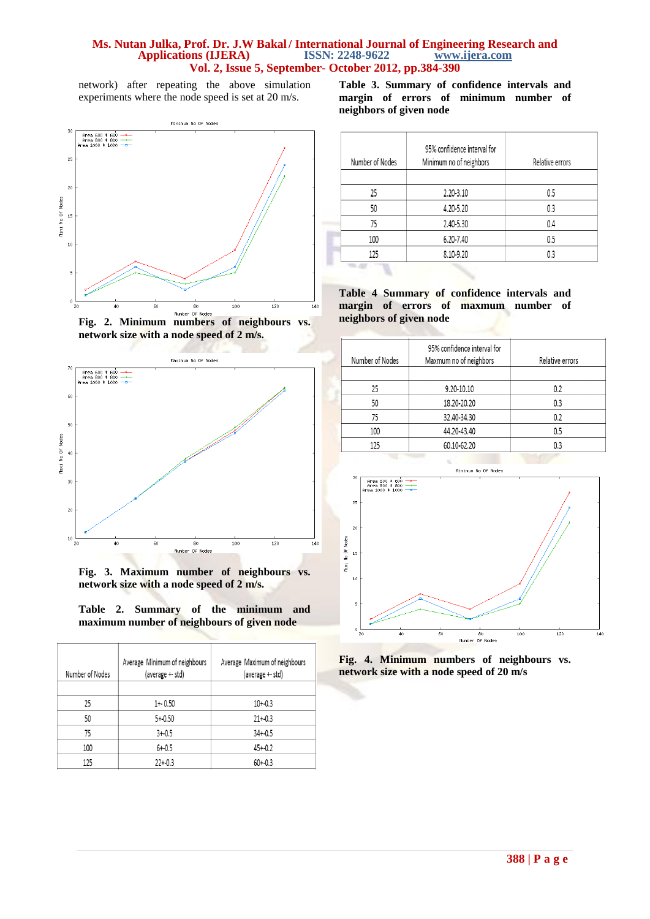network) after repeating the above simulation experiments where the node speed is set at 20 m/s.



**Fig. 2. Minimum numbers of neighbours vs. network size with a node speed of 2 m/s.**



**Fig. 3. Maximum number of neighbours vs. network size with a node speed of 2 m/s.**

|  | Table 2. Summary of the minimum and        |  |  |
|--|--------------------------------------------|--|--|
|  | maximum number of neighbours of given node |  |  |

| Number of Nodes | Average Minimum of neighbours<br>(average +- std) | Average Maximum of neighbours<br>(average +- std) |
|-----------------|---------------------------------------------------|---------------------------------------------------|
| 25              | $1 + 0.50$                                        | $10 + 0.3$                                        |
| 50              | $5 + 0.50$                                        | $21 + 0.3$                                        |
| 75              | $3 + 0.5$                                         | $34 + 0.5$                                        |
| 100             | $6 + -0.5$                                        | $45 + 0.2$                                        |
| 125             | $22 + 0.3$                                        | $60 + 0.3$                                        |

**Table 3. Summary of confidence intervals and margin of errors of minimum number of neighbors of given node** 

| Number of Nodes | 95% confidence interval for<br>Minimum no of neighbors | Relative errors |
|-----------------|--------------------------------------------------------|-----------------|
|                 |                                                        |                 |
| 25              | 2.20-3.10                                              | 0.5             |
| 50              | 4.20-5.20                                              | 0.3             |
| 75              | 2.40-5.30                                              | 0.4             |
| 100             | 6.20-7.40                                              | 0.5             |
| 125             | 8.10-9.20                                              | n٩              |
|                 |                                                        |                 |

**Table 4 Summary of confidence intervals and margin of errors of maxmum number of neighbors of given node** 

| Number of Nodes | 95% confidence interval for<br>Maxmum no of neighbors | Relative errors |
|-----------------|-------------------------------------------------------|-----------------|
| 25              | 9.20-10.10                                            | 0.2             |
| 50              | 18.20-20.20                                           | 0.3             |
| 75              | 32.40-34.30                                           | 0.2             |
| 100             | 44.20-43.40                                           | 0.5             |
| 125             | 60.10-62.20                                           | 0.3             |



**Fig. 4. Minimum numbers of neighbours vs. network size with a node speed of 20 m/s**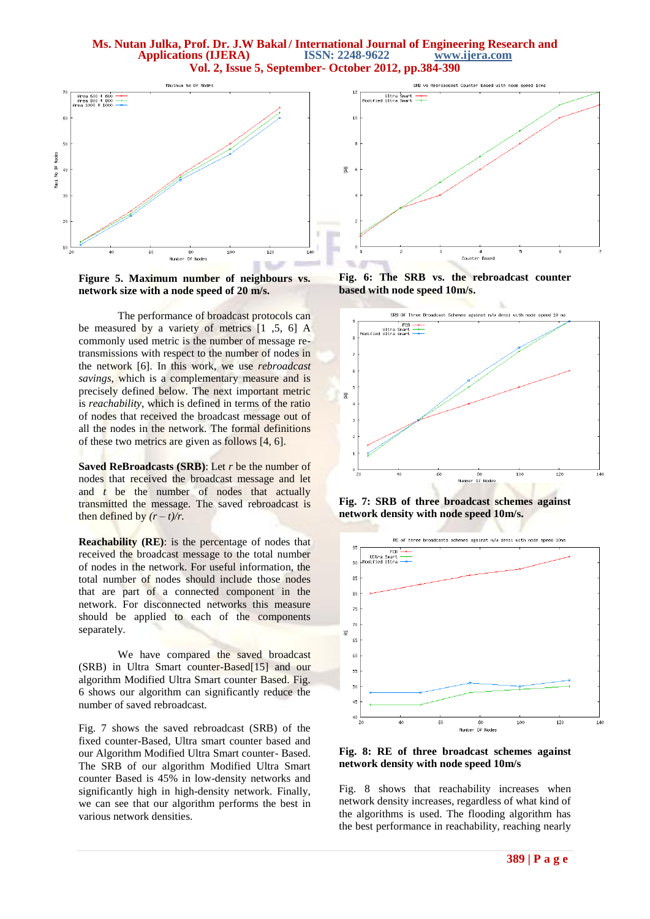

**Figure 5. Maximum number of neighbours vs. network size with a node speed of 20 m/s.**

 The performance of broadcast protocols can be measured by a variety of metrics [1 ,5, 6] A commonly used metric is the number of message retransmissions with respect to the number of nodes in the network [6]. In this work, we use *rebroadcast savings*, which is a complementary measure and is precisely defined below. The next important metric is *reachability*, which is defined in terms of the ratio of nodes that received the broadcast message out of all the nodes in the network. The formal definitions of these two metrics are given as follows [4, 6].

**Saved ReBroadcasts (SRB)**: Let *r* be the number of nodes that received the broadcast message and let and *t* be the number of nodes that actually transmitted the message. The saved rebroadcast is then defined by  $(r - t)/r$ .

**Reachability (RE)**: is the percentage of nodes that received the broadcast message to the total number of nodes in the network. For useful information, the total number of nodes should include those nodes that are part of a connected component in the network. For disconnected networks this measure should be applied to each of the components separately.

 We have compared the saved broadcast (SRB) in Ultra Smart counter-Based[15] and our algorithm Modified Ultra Smart counter Based. Fig. 6 shows our algorithm can significantly reduce the number of saved rebroadcast.

Fig. 7 shows the saved rebroadcast (SRB) of the fixed counter-Based, Ultra smart counter based and our Algorithm Modified Ultra Smart counter- Based. The SRB of our algorithm Modified Ultra Smart counter Based is 45% in low-density networks and significantly high in high-density network. Finally, we can see that our algorithm performs the best in various network densities.



**Fig. 6: The SRB vs. the rebroadcast counter based with node speed 10m/s.**



**Fig. 7: SRB of three broadcast schemes against network density with node speed 10m/s.**



**Fig. 8: RE of three broadcast schemes against network density with node speed 10m/s**

Fig. 8 shows that reachability increases when network density increases, regardless of what kind of the algorithms is used. The flooding algorithm has the best performance in reachability, reaching nearly